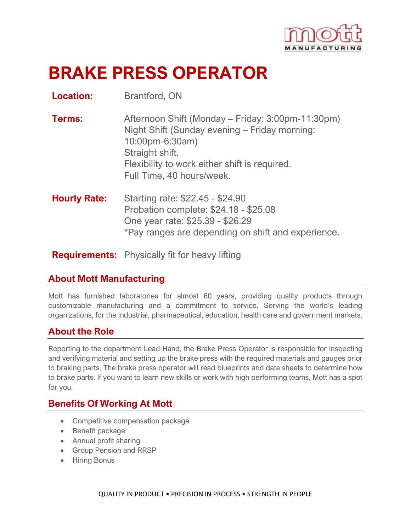

# **BRAKE PRESS OPERATOR**

**Location:** Brantford, ON

- **Terms:** Afternoon Shift (Monday Friday: 3:00pm-11:30pm) Night Shift (Sunday evening – Friday morning: 10:00pm-6:30am) Straight shift. Flexibility to work either shift is required. Full Time, 40 hours/week.
- **Hourly Rate:** Starting rate: \$22.45 \$24.90 Probation complete: \$24.18 - \$25.08 One year rate: \$25.39 - \$26.29 \*Pay ranges are depending on shift and experience.

**Requirements:** Physically fit for heavy lifting

### **About Mott Manufacturing**

Mott has furnished laboratories for almost 60 years, providing quality products through customizable manufacturing and a commitment to service. Serving the world's leading organizations, for the industrial, pharmaceutical, education, health care and government markets.

### **About the Role**

Reporting to the department Lead Hand, the Brake Press Operator is responsible for inspecting and verifying material and setting up the brake press with the required materials and gauges prior to braking parts. The brake press operator will read blueprints and data sheets to determine how to brake parts. If you want to learn new skills or work with high performing teams, Mott has a spot for you.

### **Benefits Of Working At Mott**

- Competitive compensation package
- Benefit package
- Annual profit sharing
- Group Pension and RRSP
- Hiring Bonus